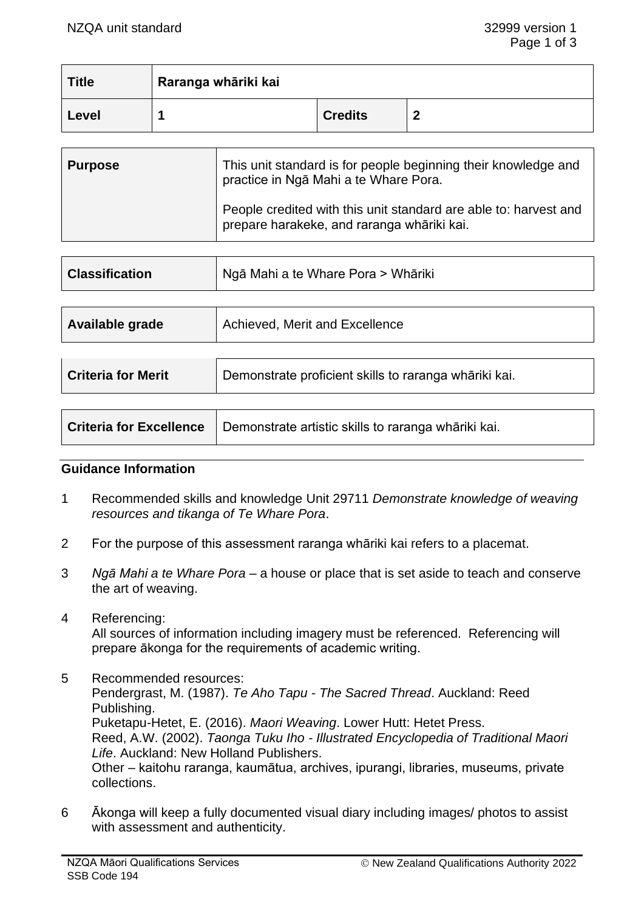| <b>Title</b> | Raranga whāriki kai |                |   |
|--------------|---------------------|----------------|---|
| Level        |                     | <b>Credits</b> | - |

| <b>Purpose</b> | This unit standard is for people beginning their knowledge and<br>practice in Nga Mahi a te Whare Pora.        |
|----------------|----------------------------------------------------------------------------------------------------------------|
|                | People credited with this unit standard are able to: harvest and<br>prepare harakeke, and raranga whāriki kai. |

| <b>Classification</b> | Ngā Mahi a te Whare Pora > Whāriki |  |
|-----------------------|------------------------------------|--|
| Available grade       | Achieved, Merit and Excellence     |  |
|                       |                                    |  |

| <b>Criteria for Merit</b> | Demonstrate proficient skills to raranga whāriki kai.                         |  |
|---------------------------|-------------------------------------------------------------------------------|--|
|                           |                                                                               |  |
|                           | Criteria for Excellence   Demonstrate artistic skills to raranga whāriki kai. |  |

#### **Guidance Information**

- 1 Recommended skills and knowledge Unit 29711 *Demonstrate knowledge of weaving resources and tikanga of Te Whare Pora*.
- 2 For the purpose of this assessment raranga whāriki kai refers to a placemat.
- 3 *Ngā Mahi a te Whare Pora*  a house or place that is set aside to teach and conserve the art of weaving.
- 4 Referencing:

All sources of information including imagery must be referenced. Referencing will prepare ākonga for the requirements of academic writing.

- 5 Recommended resources: Pendergrast, M. (1987). *Te Aho Tapu - The Sacred Thread*. Auckland: Reed Publishing. Puketapu-Hetet, E. (2016). *Maori Weaving*. Lower Hutt: Hetet Press. Reed, A.W. (2002). *Taonga Tuku Iho - Illustrated Encyclopedia of Traditional Maori Life*. Auckland: New Holland Publishers. Other – kaitohu raranga, kaumātua, archives, ipurangi, libraries, museums, private collections.
- 6 Ākonga will keep a fully documented visual diary including images/ photos to assist with assessment and authenticity.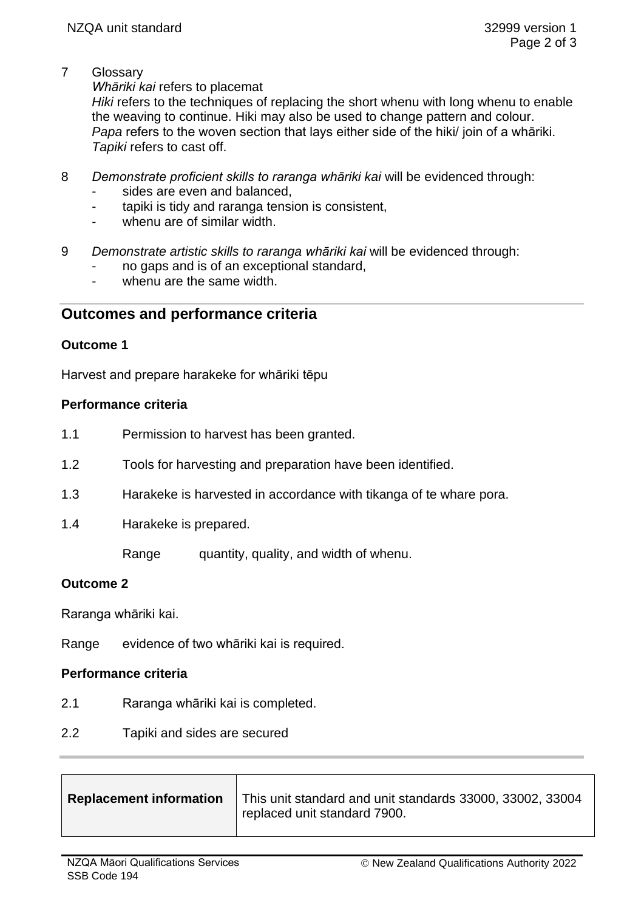7 Glossary

*Whāriki kai* refers to placemat

*Hiki* refers to the techniques of replacing the short whenu with long whenu to enable the weaving to continue. Hiki may also be used to change pattern and colour. *Papa* refers to the woven section that lays either side of the hiki/ join of a whāriki. *Tapiki* refers to cast off.

- 8 *Demonstrate proficient skills to raranga whāriki kai* will be evidenced through:
	- sides are even and balanced,
	- tapiki is tidy and raranga tension is consistent,
	- whenu are of similar width.
- 9 *Demonstrate artistic skills to raranga whāriki kai* will be evidenced through:
	- no gaps and is of an exceptional standard,
	- whenu are the same width.

# **Outcomes and performance criteria**

## **Outcome 1**

Harvest and prepare harakeke for whāriki tēpu

### **Performance criteria**

- 1.1 Permission to harvest has been granted.
- 1.2 Tools for harvesting and preparation have been identified.
- 1.3 Harakeke is harvested in accordance with tikanga of te whare pora.
- 1.4 Harakeke is prepared.

Range quantity, quality, and width of whenu.

## **Outcome 2**

Raranga whāriki kai.

Range evidence of two whāriki kai is required.

### **Performance criteria**

- 2.1 Raranga whāriki kai is completed.
- 2.2 Tapiki and sides are secured

| <b>Replacement information</b> | This unit standard and unit standards 33000, 33002, 33004<br>replaced unit standard 7900. |
|--------------------------------|-------------------------------------------------------------------------------------------|
|                                |                                                                                           |